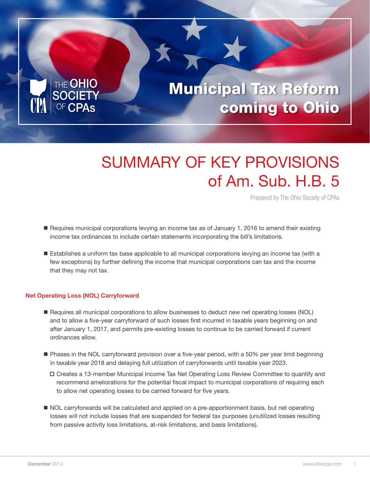

# SUMMARY OF KEY PROVISIONS of Am. Sub. H.B. 5

Prepared by The Ohio Society of CPAs

- Requires municipal corporations levying an income tax as of January 1, 2016 to amend their existing income tax ordinances to include certain statements incorporating the bill's limitations.
- **Establishes a uniform tax base applicable to all municipal corporations levying an income tax (with a** few exceptions) by further defining the income that municipal corporations can tax and the income that they may not tax.

## Net Operating Loss (NOL) Carryforward

- Requires all municipal corporations to allow businesses to deduct new net operating losses (NOL) and to allow a five-year carryforward of such losses first incurred in taxable years beginning on and after January 1, 2017, and permits pre-existing losses to continue to be carried forward if current ordinances allow.
- **Phases in the NOL carryforward provision over a five-year period, with a 50% per year limit beginning** in taxable year 2018 and delaying full utilization of carryforwards until taxable year 2023.
	- Creates a 13-member Municipal Income Tax Net Operating Loss Review Committee to quantify and recommend ameliorations for the potential fiscal impact to municipal corporations of requiring each to allow net operating losses to be carried forward for five years.
- $\blacksquare$  NOL carryforwards will be calculated and applied on a pre-apportionment basis, but net operating losses will not include losses that are suspended for federal tax purposes (unutilized losses resulting from passive activity loss limitations, at-risk limitations, and basis limitations).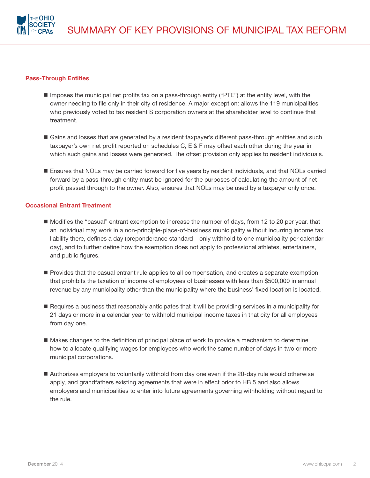

#### Pass-Through Entities

- Imposes the municipal net profits tax on a pass-through entity ("PTE") at the entity level, with the owner needing to file only in their city of residence. A major exception: allows the 119 municipalities who previously voted to tax resident S corporation owners at the shareholder level to continue that treatment.
- Gains and losses that are generated by a resident taxpayer's different pass-through entities and such taxpayer's own net profit reported on schedules C, E & F may offset each other during the year in which such gains and losses were generated. The offset provision only applies to resident individuals.
- Ensures that NOLs may be carried forward for five years by resident individuals, and that NOLs carried forward by a pass-through entity must be ignored for the purposes of calculating the amount of net profit passed through to the owner. Also, ensures that NOLs may be used by a taxpayer only once.

### Occasional Entrant Treatment

- n Modifies the "casual" entrant exemption to increase the number of days, from 12 to 20 per year, that an individual may work in a non-principle-place-of-business municipality without incurring income tax liability there, defines a day (preponderance standard – only withhold to one municipality per calendar day), and to further define how the exemption does not apply to professional athletes, entertainers, and public figures.
- **Provides that the casual entrant rule applies to all compensation, and creates a separate exemption** that prohibits the taxation of income of employees of businesses with less than \$500,000 in annual revenue by any municipality other than the municipality where the business' fixed location is located.
- **n** Requires a business that reasonably anticipates that it will be providing services in a municipality for 21 days or more in a calendar year to withhold municipal income taxes in that city for all employees from day one.
- $\blacksquare$  Makes changes to the definition of principal place of work to provide a mechanism to determine how to allocate qualifying wages for employees who work the same number of days in two or more municipal corporations.
- Authorizes employers to voluntarily withhold from day one even if the 20-day rule would otherwise apply, and grandfathers existing agreements that were in effect prior to HB 5 and also allows employers and municipalities to enter into future agreements governing withholding without regard to the rule.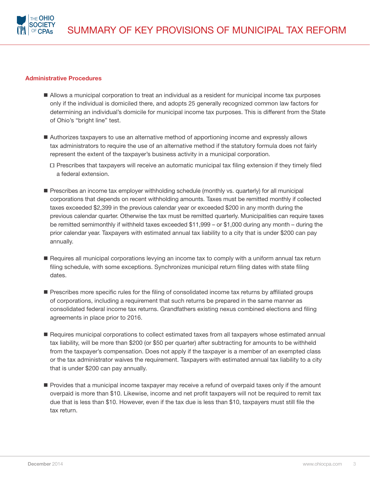

#### Administrative Procedures

- Allows a municipal corporation to treat an individual as a resident for municipal income tax purposes only if the individual is domiciled there, and adopts 25 generally recognized common law factors for determining an individual's domicile for municipal income tax purposes. This is different from the State of Ohio's "bright line" test.
- Authorizes taxpayers to use an alternative method of apportioning income and expressly allows tax administrators to require the use of an alternative method if the statutory formula does not fairly represent the extent of the taxpayer's business activity in a municipal corporation.
	- $\Box$  Prescribes that taxpayers will receive an automatic municipal tax filing extension if they timely filed a federal extension.
- **Prescribes an income tax employer withholding schedule (monthly vs. quarterly) for all municipal** corporations that depends on recent withholding amounts. Taxes must be remitted monthly if collected taxes exceeded \$2,399 in the previous calendar year or exceeded \$200 in any month during the previous calendar quarter. Otherwise the tax must be remitted quarterly. Municipalities can require taxes be remitted semimonthly if withheld taxes exceeded \$11,999 – or \$1,000 during any month – during the prior calendar year. Taxpayers with estimated annual tax liability to a city that is under \$200 can pay annually.
- Requires all municipal corporations levying an income tax to comply with a uniform annual tax return filing schedule, with some exceptions. Synchronizes municipal return filing dates with state filing dates.
- **Prescribes more specific rules for the filing of consolidated income tax returns by affiliated groups** of corporations, including a requirement that such returns be prepared in the same manner as consolidated federal income tax returns. Grandfathers existing nexus combined elections and filing agreements in place prior to 2016.
- Requires municipal corporations to collect estimated taxes from all taxpayers whose estimated annual tax liability, will be more than \$200 (or \$50 per quarter) after subtracting for amounts to be withheld from the taxpayer's compensation. Does not apply if the taxpayer is a member of an exempted class or the tax administrator waives the requirement. Taxpayers with estimated annual tax liability to a city that is under \$200 can pay annually.
- **Provides that a municipal income taxpayer may receive a refund of overpaid taxes only if the amount** overpaid is more than \$10. Likewise, income and net profit taxpayers will not be required to remit tax due that is less than \$10. However, even if the tax due is less than \$10, taxpayers must still file the tax return.